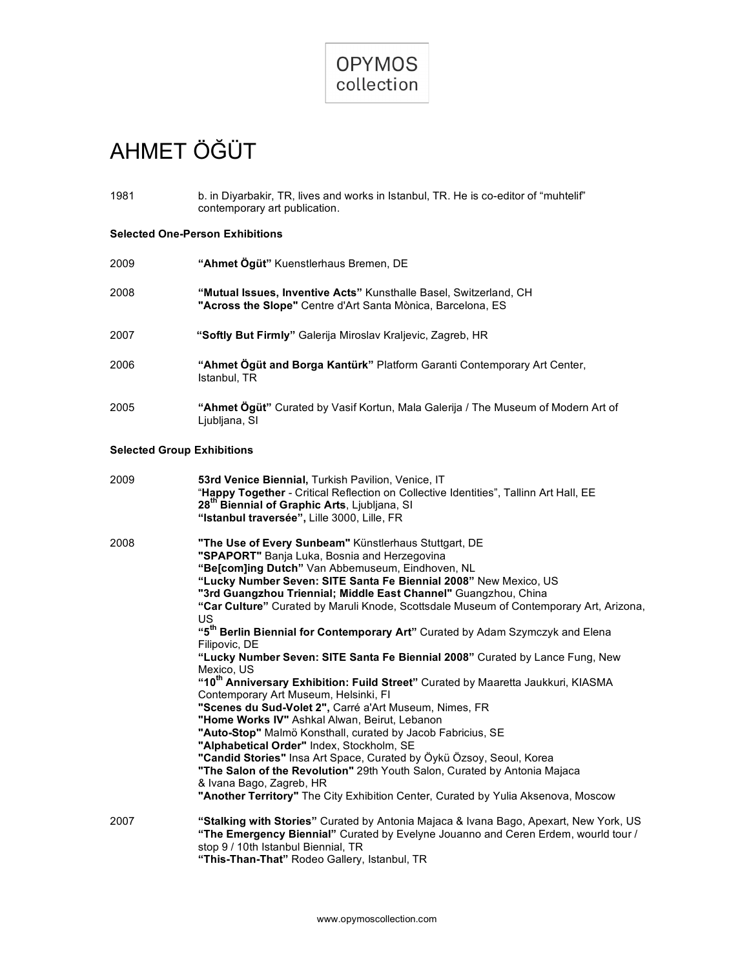

# AHMET ÖĞÜT

| 1981 | b. in Divarbakir, TR, lives and works in Istanbul, TR. He is co-editor of "muhtelif" |
|------|--------------------------------------------------------------------------------------|
|      | contemporary art publication.                                                        |

## **Selected One-Person Exhibitions**

| 2009 | "Ahmet Ögüt" Kuenstlerhaus Bremen, DE                                                                                            |
|------|----------------------------------------------------------------------------------------------------------------------------------|
| 2008 | "Mutual Issues, Inventive Acts" Kunsthalle Basel, Switzerland, CH<br>"Across the Slope" Centre d'Art Santa Mònica, Barcelona, ES |
| 2007 | "Softly But Firmly" Galerija Miroslav Kraljevic, Zagreb, HR                                                                      |
| 2006 | "Ahmet Ögüt and Borga Kantürk" Platform Garanti Contemporary Art Center,<br>Istanbul, TR                                         |
| 2005 | "Ahmet Ogüt" Curated by Vasif Kortun, Mala Galerija / The Museum of Modern Art of<br>Ljubljana, SI                               |

## **Selected Group Exhibitions**

| 2009 | 53rd Venice Biennial, Turkish Pavilion, Venice, IT<br>"Happy Together - Critical Reflection on Collective Identities", Tallinn Art Hall, EE<br>28 <sup>th</sup> Biennial of Graphic Arts, Ljubljana, SI<br>"Istanbul traversée", Lille 3000, Lille, FR                                                                                                                                                                                                                                                                                                                                                                                                                                                                                                                                                                                                                                                                                                                                                                                                                                                                                                                                                                                                    |
|------|-----------------------------------------------------------------------------------------------------------------------------------------------------------------------------------------------------------------------------------------------------------------------------------------------------------------------------------------------------------------------------------------------------------------------------------------------------------------------------------------------------------------------------------------------------------------------------------------------------------------------------------------------------------------------------------------------------------------------------------------------------------------------------------------------------------------------------------------------------------------------------------------------------------------------------------------------------------------------------------------------------------------------------------------------------------------------------------------------------------------------------------------------------------------------------------------------------------------------------------------------------------|
| 2008 | "The Use of Every Sunbeam" Künstlerhaus Stuttgart, DE<br>"SPAPORT" Banja Luka, Bosnia and Herzegovina<br>"Belcomling Dutch" Van Abbemuseum, Eindhoven, NL<br>"Lucky Number Seven: SITE Santa Fe Biennial 2008" New Mexico, US<br>"3rd Guangzhou Triennial; Middle East Channel" Guangzhou, China<br>"Car Culture" Curated by Maruli Knode, Scottsdale Museum of Contemporary Art, Arizona,<br><b>US</b><br>"5 <sup>th</sup> Berlin Biennial for Contemporary Art" Curated by Adam Szymczyk and Elena<br>Filipovic, DE<br>"Lucky Number Seven: SITE Santa Fe Biennial 2008" Curated by Lance Fung, New<br>Mexico, US<br>"10 <sup>th</sup> Anniversary Exhibition: Fuild Street" Curated by Maaretta Jaukkuri, KIASMA<br>Contemporary Art Museum, Helsinki, FI<br>"Scenes du Sud-Volet 2", Carré a'Art Museum, Nimes, FR<br>"Home Works IV" Ashkal Alwan, Beirut, Lebanon<br>"Auto-Stop" Malmö Konsthall, curated by Jacob Fabricius, SE<br>"Alphabetical Order" Index, Stockholm, SE<br>"Candid Stories" Insa Art Space, Curated by Öykü Özsoy, Seoul, Korea<br>"The Salon of the Revolution" 29th Youth Salon, Curated by Antonia Majaca<br>& Ivana Bago, Zagreb, HR<br>"Another Territory" The City Exhibition Center, Curated by Yulia Aksenova, Moscow |
| 2007 | "Stalking with Stories" Curated by Antonia Majaca & Ivana Bago, Apexart, New York, US<br>"The Emergency Biennial" Curated by Evelyne Jouanno and Ceren Erdem, wourld tour /<br>stop 9 / 10th Istanbul Biennial, TR<br>"This-Than-That" Rodeo Gallery, Istanbul, TR                                                                                                                                                                                                                                                                                                                                                                                                                                                                                                                                                                                                                                                                                                                                                                                                                                                                                                                                                                                        |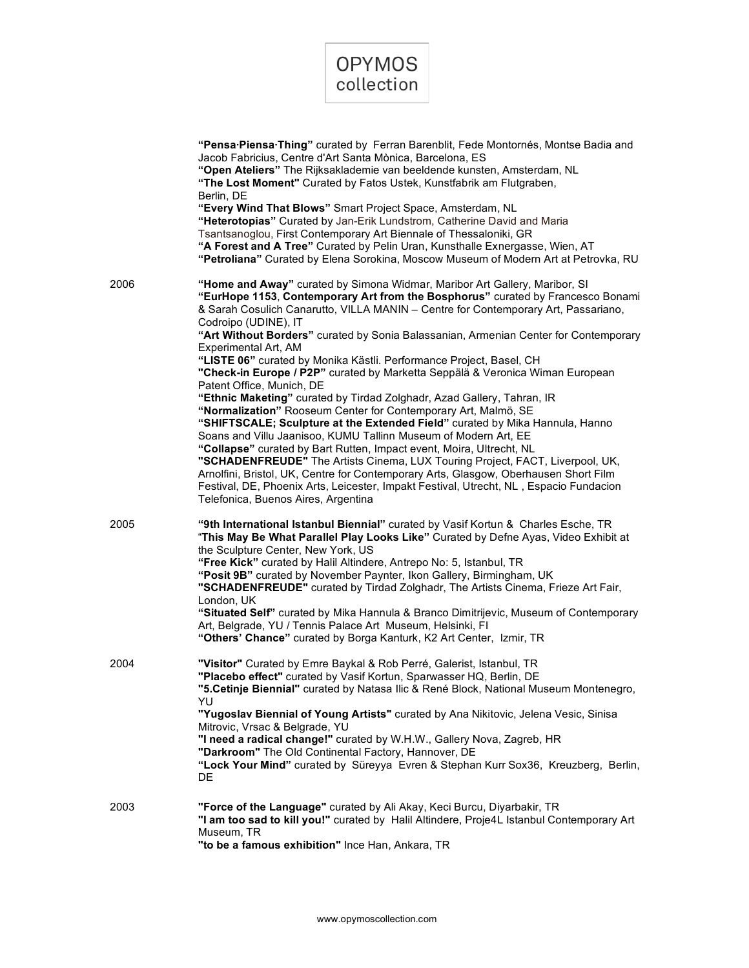

|      | "Pensa Piensa Thing" curated by Ferran Barenblit, Fede Montornés, Montse Badia and<br>Jacob Fabricius, Centre d'Art Santa Mònica, Barcelona, ES<br>"Open Ateliers" The Rijksaklademie van beeldende kunsten, Amsterdam, NL<br>"The Lost Moment" Curated by Fatos Ustek, Kunstfabrik am Flutgraben,<br>Berlin, DE<br>"Every Wind That Blows" Smart Project Space, Amsterdam, NL<br>"Heterotopias" Curated by Jan-Erik Lundstrom, Catherine David and Maria<br>Tsantsanoglou, First Contemporary Art Biennale of Thessaloniki, GR<br>"A Forest and A Tree" Curated by Pelin Uran, Kunsthalle Exnergasse, Wien, AT<br>"Petroliana" Curated by Elena Sorokina, Moscow Museum of Modern Art at Petrovka, RU                                                                                                                                                                                                                                                                                                                                                                                                                                                                                                                                                            |
|------|-------------------------------------------------------------------------------------------------------------------------------------------------------------------------------------------------------------------------------------------------------------------------------------------------------------------------------------------------------------------------------------------------------------------------------------------------------------------------------------------------------------------------------------------------------------------------------------------------------------------------------------------------------------------------------------------------------------------------------------------------------------------------------------------------------------------------------------------------------------------------------------------------------------------------------------------------------------------------------------------------------------------------------------------------------------------------------------------------------------------------------------------------------------------------------------------------------------------------------------------------------------------|
| 2006 | "Home and Away" curated by Simona Widmar, Maribor Art Gallery, Maribor, SI<br>"EurHope 1153, Contemporary Art from the Bosphorus" curated by Francesco Bonami<br>& Sarah Cosulich Canarutto, VILLA MANIN - Centre for Contemporary Art, Passariano,<br>Codroipo (UDINE), IT<br>"Art Without Borders" curated by Sonia Balassanian, Armenian Center for Contemporary<br>Experimental Art, AM<br>"LISTE 06" curated by Monika Kästli. Performance Project, Basel, CH<br>"Check-in Europe / P2P" curated by Marketta Seppälä & Veronica Wiman European<br>Patent Office, Munich, DE<br>"Ethnic Maketing" curated by Tirdad Zolghadr, Azad Gallery, Tahran, IR<br>"Normalization" Rooseum Center for Contemporary Art, Malmö, SE<br>"SHIFTSCALE; Sculpture at the Extended Field" curated by Mika Hannula, Hanno<br>Soans and Villu Jaanisoo, KUMU Tallinn Museum of Modern Art, EE<br>"Collapse" curated by Bart Rutten, Impact event, Moira, Ultrecht, NL<br>"SCHADENFREUDE" The Artists Cinema, LUX Touring Project, FACT, Liverpool, UK,<br>Arnolfini, Bristol, UK, Centre for Contemporary Arts, Glasgow, Oberhausen Short Film<br>Festival, DE, Phoenix Arts, Leicester, Impakt Festival, Utrecht, NL, Espacio Fundacion<br>Telefonica, Buenos Aires, Argentina |
| 2005 | "9th International Istanbul Biennial" curated by Vasif Kortun & Charles Esche, TR<br>"This May Be What Parallel Play Looks Like" Curated by Defne Ayas, Video Exhibit at<br>the Sculpture Center, New York, US<br>"Free Kick" curated by Halil Altindere, Antrepo No: 5, Istanbul, TR<br>"Posit 9B" curated by November Paynter, Ikon Gallery, Birmingham, UK<br>"SCHADENFREUDE" curated by Tirdad Zolghadr, The Artists Cinema, Frieze Art Fair,<br>London, UK<br>"Situated Self" curated by Mika Hannula & Branco Dimitrijevic, Museum of Contemporary<br>Art, Belgrade, YU / Tennis Palace Art Museum, Helsinki, FI<br>"Others' Chance" curated by Borga Kanturk, K2 Art Center, Izmir, TR                                                                                                                                                                                                                                                                                                                                                                                                                                                                                                                                                                     |
| 2004 | "Visitor" Curated by Emre Baykal & Rob Perré, Galerist, Istanbul, TR<br>"Placebo effect" curated by Vasif Kortun, Sparwasser HQ, Berlin, DE<br>"5. Cetinje Biennial" curated by Natasa Ilic & René Block, National Museum Montenegro,<br>YU<br>"Yugoslav Biennial of Young Artists" curated by Ana Nikitovic, Jelena Vesic, Sinisa<br>Mitrovic, Vrsac & Belgrade, YU<br>"I need a radical change!" curated by W.H.W., Gallery Nova, Zagreb, HR<br>"Darkroom" The Old Continental Factory, Hannover, DE<br>"Lock Your Mind" curated by Süreyya Evren & Stephan Kurr Sox36, Kreuzberg, Berlin,<br>DE                                                                                                                                                                                                                                                                                                                                                                                                                                                                                                                                                                                                                                                                |
| 2003 | "Force of the Language" curated by Ali Akay, Keci Burcu, Diyarbakir, TR<br>"I am too sad to kill you!" curated by Halil Altindere, Proje4L Istanbul Contemporary Art<br>Museum, TR<br>"to be a famous exhibition" Ince Han, Ankara, TR                                                                                                                                                                                                                                                                                                                                                                                                                                                                                                                                                                                                                                                                                                                                                                                                                                                                                                                                                                                                                            |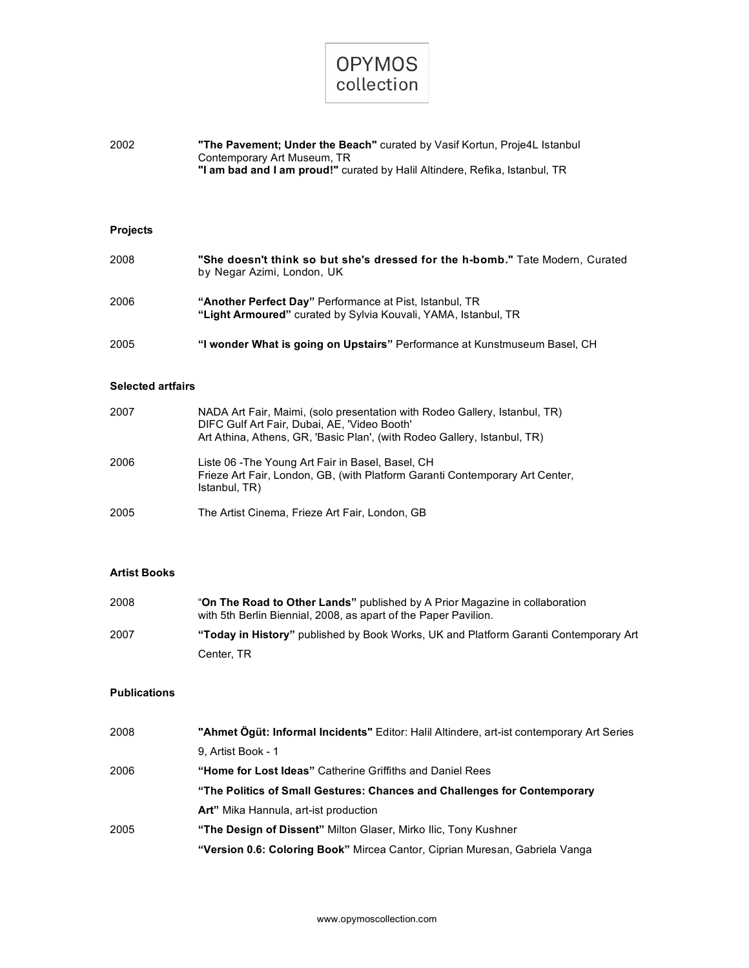

| 2002 | "The Pavement: Under the Beach" curated by Vasif Kortun, Proje4L Istanbul   |
|------|-----------------------------------------------------------------------------|
|      | Contemporary Art Museum, TR                                                 |
|      | "I am bad and I am proud!" curated by Halil Altindere, Refika, Istanbul, TR |

## **Projects**

| 2008 | "She doesn't think so but she's dressed for the h-bomb." Tate Modern, Curated<br>by Negar Azimi, London, UK               |
|------|---------------------------------------------------------------------------------------------------------------------------|
| 2006 | "Another Perfect Day" Performance at Pist, Istanbul, TR<br>"Light Armoured" curated by Sylvia Kouvali, YAMA, Istanbul, TR |
| 2005 | "I wonder What is going on Upstairs" Performance at Kunstmuseum Basel, CH                                                 |

### **Selected artfairs**

| 2007 | NADA Art Fair, Maimi, (solo presentation with Rodeo Gallery, Istanbul, TR)<br>DIFC Gulf Art Fair, Dubai, AE, 'Video Booth'<br>Art Athina, Athens, GR, 'Basic Plan', (with Rodeo Gallery, Istanbul, TR) |
|------|--------------------------------------------------------------------------------------------------------------------------------------------------------------------------------------------------------|
| 2006 | Liste 06 - The Young Art Fair in Basel, Basel, CH<br>Frieze Art Fair, London, GB, (with Platform Garanti Contemporary Art Center,<br>Istanbul, TR)                                                     |
| 2005 | The Artist Cinema, Frieze Art Fair, London, GB                                                                                                                                                         |

## **Artist Books**

| 2008 | "On The Road to Other Lands" published by A Prior Magazine in collaboration<br>with 5th Berlin Biennial, 2008, as apart of the Paper Pavilion. |
|------|------------------------------------------------------------------------------------------------------------------------------------------------|
| 2007 | "Today in History" published by Book Works, UK and Platform Garanti Contemporary Art                                                           |
|      | Center, TR                                                                                                                                     |

## **Publications**

| 2008 | "Ahmet Ögüt: Informal Incidents" Editor: Halil Altindere, art-ist contemporary Art Series |
|------|-------------------------------------------------------------------------------------------|
|      | 9. Artist Book - 1                                                                        |
| 2006 | "Home for Lost Ideas" Catherine Griffiths and Daniel Rees                                 |
|      | "The Politics of Small Gestures: Chances and Challenges for Contemporary                  |
|      | Art" Mika Hannula, art-ist production                                                     |
| 2005 | "The Design of Dissent" Milton Glaser, Mirko Ilic, Tony Kushner                           |
|      | "Version 0.6: Coloring Book" Mircea Cantor, Ciprian Muresan, Gabriela Vanga               |